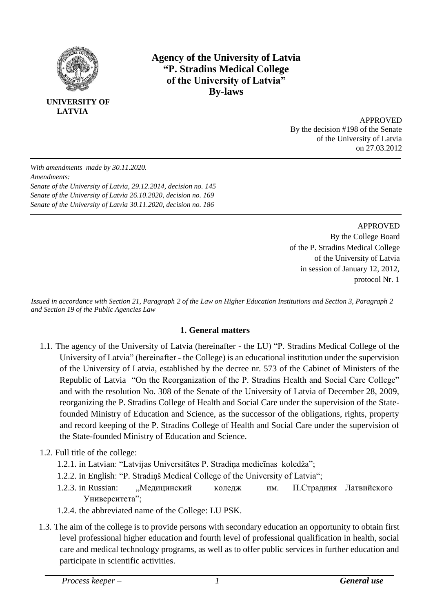

**UNIVERSITY OF LATVIA**

## **Agency of the University of Latvia "P. Stradins Medical College of the University of Latvia" By-laws**

APPROVED By the decision #198 of the Senate of the University of Latvia on 27.03.2012

*With amendments made by 30.11.2020. Amendments: Senate of the University of Latvia, 29.12.2014, decision no. 145 Senate of the University of Latvia 26.10.2020, decision no. 169 Senate of the University of Latvia 30.11.2020, decision no. 186*

> APPROVED By the College Board of the P. Stradins Medical College of the University of Latvia in session of January 12, 2012, protocol Nr. 1

*Issued in accordance with Section 21, Paragraph 2 of the Law on Higher Education Institutions and Section 3, Paragraph 2 and Section 19 of the Public Agencies Law*

## **1. General matters**

- 1.1. The agency of the University of Latvia (hereinafter the LU) "P. Stradins Medical College of the University of Latvia" (hereinafter - the College) is an educational institution under the supervision of the University of Latvia, established by the decree nr. 573 of the Cabinet of Ministers of the Republic of Latvia "On the Reorganization of the P. Stradins Health and Social Care College" and with the resolution No. 308 of the Senate of the University of Latvia of December 28, 2009, reorganizing the P. Stradins College of Health and Social Care under the supervision of the Statefounded Ministry of Education and Science, as the successor of the obligations, rights, property and record keeping of the P. Stradins College of Health and Social Care under the supervision of the State-founded Ministry of Education and Science.
- 1.2. Full title of the college:
	- 1.2.1. in Latvian: "Latvijas Universitātes P. Stradiņa medicīnas koledža";
	- 1.2.2. in English: "P. Stradiņš Medical College of the University of Latvia";
	- 1.2.3. in Russian: "Медицинский коледж им. П.Страдиня Латвийского Университета";
	- 1.2.4. the abbreviated name of the College: LU PSK.
- 1.3. The aim of the college is to provide persons with secondary education an opportunity to obtain first level professional higher education and fourth level of professional qualification in health, social care and medical technology programs, as well as to offer public services in further education and participate in scientific activities.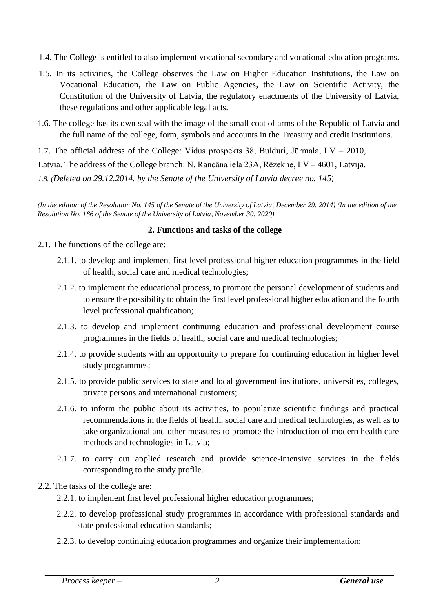- 1.4. The College is entitled to also implement vocational secondary and vocational education programs.
- 1.5. In its activities, the College observes the Law on Higher Education Institutions, the Law on Vocational Education, the Law on Public Agencies, the Law on Scientific Activity, the Constitution of the University of Latvia, the regulatory enactments of the University of Latvia, these regulations and other applicable legal acts.
- 1.6. The college has its own seal with the image of the small coat of arms of the Republic of Latvia and the full name of the college, form, symbols and accounts in the Treasury and credit institutions.

1.7. The official address of the College: Vidus prospekts 38, Bulduri, Jūrmala, LV – 2010,

Latvia. The address of the College branch: N. Rancāna iela 23A, Rēzekne, LV – 4601, Latvija.

*1.8. (Deleted on 29.12.2014. by the Senate of the University of Latvia decree no. 145)* 

*(In the edition of the Resolution No. 145 of the Senate of the University of Latvia, December 29, 2014) (In the edition of the Resolution No. 186 of the Senate of the University of Latvia, November 30, 2020)*

### **2. Functions and tasks of the college**

- 2.1. The functions of the college are:
	- 2.1.1. to develop and implement first level professional higher education programmes in the field of health, social care and medical technologies;
	- 2.1.2. to implement the educational process, to promote the personal development of students and to ensure the possibility to obtain the first level professional higher education and the fourth level professional qualification;
	- 2.1.3. to develop and implement continuing education and professional development course programmes in the fields of health, social care and medical technologies;
	- 2.1.4. to provide students with an opportunity to prepare for continuing education in higher level study programmes;
	- 2.1.5. to provide public services to state and local government institutions, universities, colleges, private persons and international customers;
	- 2.1.6. to inform the public about its activities, to popularize scientific findings and practical recommendations in the fields of health, social care and medical technologies, as well as to take organizational and other measures to promote the introduction of modern health care methods and technologies in Latvia;
	- 2.1.7. to carry out applied research and provide science-intensive services in the fields corresponding to the study profile.
- 2.2. The tasks of the college are:
	- 2.2.1. to implement first level professional higher education programmes;
	- 2.2.2. to develop professional study programmes in accordance with professional standards and state professional education standards;
	- 2.2.3. to develop continuing education programmes and organize their implementation;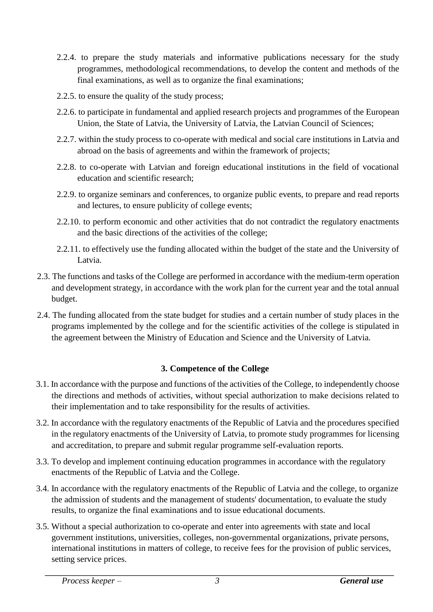- 2.2.4. to prepare the study materials and informative publications necessary for the study programmes, methodological recommendations, to develop the content and methods of the final examinations, as well as to organize the final examinations;
- 2.2.5. to ensure the quality of the study process;
- 2.2.6. to participate in fundamental and applied research projects and programmes of the European Union, the State of Latvia, the University of Latvia, the Latvian Council of Sciences;
- 2.2.7. within the study process to co-operate with medical and social care institutions in Latvia and abroad on the basis of agreements and within the framework of projects;
- 2.2.8. to co-operate with Latvian and foreign educational institutions in the field of vocational education and scientific research;
- 2.2.9. to organize seminars and conferences, to organize public events, to prepare and read reports and lectures, to ensure publicity of college events;
- 2.2.10. to perform economic and other activities that do not contradict the regulatory enactments and the basic directions of the activities of the college;
- 2.2.11. to effectively use the funding allocated within the budget of the state and the University of Latvia.
- 2.3. The functions and tasks of the College are performed in accordance with the medium-term operation and development strategy, in accordance with the work plan for the current year and the total annual budget.
- 2.4. The funding allocated from the state budget for studies and a certain number of study places in the programs implemented by the college and for the scientific activities of the college is stipulated in the agreement between the Ministry of Education and Science and the University of Latvia.

## **3. Competence of the College**

- 3.1. In accordance with the purpose and functions of the activities of the College, to independently choose the directions and methods of activities, without special authorization to make decisions related to their implementation and to take responsibility for the results of activities.
- 3.2. In accordance with the regulatory enactments of the Republic of Latvia and the procedures specified in the regulatory enactments of the University of Latvia, to promote study programmes for licensing and accreditation, to prepare and submit regular programme self-evaluation reports.
- 3.3. To develop and implement continuing education programmes in accordance with the regulatory enactments of the Republic of Latvia and the College.
- 3.4. In accordance with the regulatory enactments of the Republic of Latvia and the college, to organize the admission of students and the management of students' documentation, to evaluate the study results, to organize the final examinations and to issue educational documents.
- 3.5. Without a special authorization to co-operate and enter into agreements with state and local government institutions, universities, colleges, non-governmental organizations, private persons, international institutions in matters of college, to receive fees for the provision of public services, setting service prices.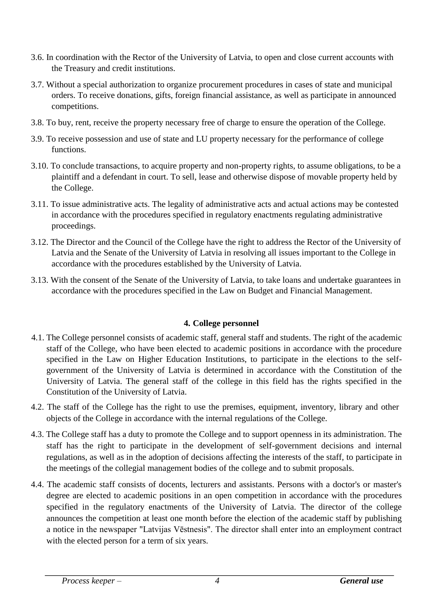- 3.6. In coordination with the Rector of the University of Latvia, to open and close current accounts with the Treasury and credit institutions.
- 3.7. Without a special authorization to organize procurement procedures in cases of state and municipal orders. To receive donations, gifts, foreign financial assistance, as well as participate in announced competitions.
- 3.8. To buy, rent, receive the property necessary free of charge to ensure the operation of the College.
- 3.9. To receive possession and use of state and LU property necessary for the performance of college functions.
- 3.10. To conclude transactions, to acquire property and non-property rights, to assume obligations, to be a plaintiff and a defendant in court. To sell, lease and otherwise dispose of movable property held by the College.
- 3.11. To issue administrative acts. The legality of administrative acts and actual actions may be contested in accordance with the procedures specified in regulatory enactments regulating administrative proceedings.
- 3.12. The Director and the Council of the College have the right to address the Rector of the University of Latvia and the Senate of the University of Latvia in resolving all issues important to the College in accordance with the procedures established by the University of Latvia.
- 3.13. With the consent of the Senate of the University of Latvia, to take loans and undertake guarantees in accordance with the procedures specified in the Law on Budget and Financial Management.

## **4. College personnel**

- 4.1. The College personnel consists of academic staff, general staff and students. The right of the academic staff of the College, who have been elected to academic positions in accordance with the procedure specified in the Law on Higher Education Institutions, to participate in the elections to the selfgovernment of the University of Latvia is determined in accordance with the Constitution of the University of Latvia. The general staff of the college in this field has the rights specified in the Constitution of the University of Latvia.
- 4.2. The staff of the College has the right to use the premises, equipment, inventory, library and other objects of the College in accordance with the internal regulations of the College.
- 4.3. The College staff has a duty to promote the College and to support openness in its administration. The staff has the right to participate in the development of self-government decisions and internal regulations, as well as in the adoption of decisions affecting the interests of the staff, to participate in the meetings of the collegial management bodies of the college and to submit proposals.
- 4.4. The academic staff consists of docents, lecturers and assistants. Persons with a doctor's or master's degree are elected to academic positions in an open competition in accordance with the procedures specified in the regulatory enactments of the University of Latvia. The director of the college announces the competition at least one month before the election of the academic staff by publishing a notice in the newspaper "Latvijas Vēstnesis". The director shall enter into an employment contract with the elected person for a term of six years.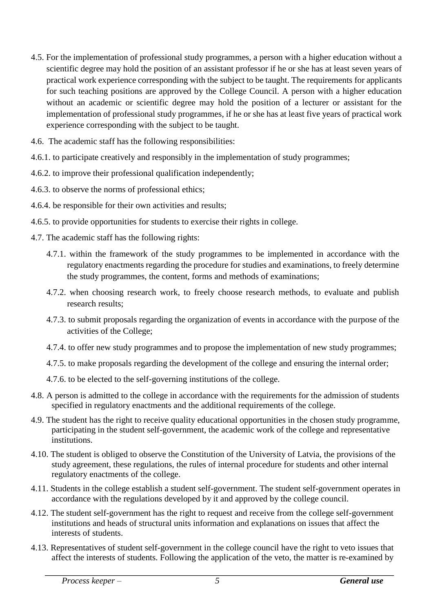- 4.5. For the implementation of professional study programmes, a person with a higher education without a scientific degree may hold the position of an assistant professor if he or she has at least seven years of practical work experience corresponding with the subject to be taught. The requirements for applicants for such teaching positions are approved by the College Council. A person with a higher education without an academic or scientific degree may hold the position of a lecturer or assistant for the implementation of professional study programmes, if he or she has at least five years of practical work experience corresponding with the subject to be taught.
- 4.6. The academic staff has the following responsibilities:
- 4.6.1. to participate creatively and responsibly in the implementation of study programmes;
- 4.6.2. to improve their professional qualification independently;
- 4.6.3. to observe the norms of professional ethics;
- 4.6.4. be responsible for their own activities and results;
- 4.6.5. to provide opportunities for students to exercise their rights in college.
- 4.7. The academic staff has the following rights:
	- 4.7.1. within the framework of the study programmes to be implemented in accordance with the regulatory enactments regarding the procedure for studies and examinations, to freely determine the study programmes, the content, forms and methods of examinations;
	- 4.7.2. when choosing research work, to freely choose research methods, to evaluate and publish research results;
	- 4.7.3. to submit proposals regarding the organization of events in accordance with the purpose of the activities of the College;
	- 4.7.4. to offer new study programmes and to propose the implementation of new study programmes;
	- 4.7.5. to make proposals regarding the development of the college and ensuring the internal order;
	- 4.7.6. to be elected to the self-governing institutions of the college.
- 4.8. A person is admitted to the college in accordance with the requirements for the admission of students specified in regulatory enactments and the additional requirements of the college.
- 4.9. The student has the right to receive quality educational opportunities in the chosen study programme, participating in the student self-government, the academic work of the college and representative institutions.
- 4.10. The student is obliged to observe the Constitution of the University of Latvia, the provisions of the study agreement, these regulations, the rules of internal procedure for students and other internal regulatory enactments of the college.
- 4.11. Students in the college establish a student self-government. The student self-government operates in accordance with the regulations developed by it and approved by the college council.
- 4.12. The student self-government has the right to request and receive from the college self-government institutions and heads of structural units information and explanations on issues that affect the interests of students.
- 4.13. Representatives of student self-government in the college council have the right to veto issues that affect the interests of students. Following the application of the veto, the matter is re-examined by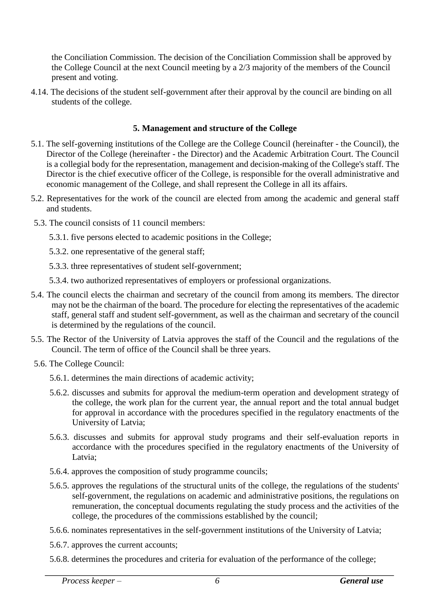the Conciliation Commission. The decision of the Conciliation Commission shall be approved by the College Council at the next Council meeting by a 2/3 majority of the members of the Council present and voting.

4.14. The decisions of the student self-government after their approval by the council are binding on all students of the college.

### **5. Management and structure of the College**

- 5.1. The self-governing institutions of the College are the College Council (hereinafter the Council), the Director of the College (hereinafter - the Director) and the Academic Arbitration Court. The Council is a collegial body for the representation, management and decision-making of the College's staff. The Director is the chief executive officer of the College, is responsible for the overall administrative and economic management of the College, and shall represent the College in all its affairs.
- 5.2. Representatives for the work of the council are elected from among the academic and general staff and students.
- 5.3. The council consists of 11 council members:
	- 5.3.1. five persons elected to academic positions in the College;
	- 5.3.2. one representative of the general staff;
	- 5.3.3. three representatives of student self-government;
	- 5.3.4. two authorized representatives of employers or professional organizations.
- 5.4. The council elects the chairman and secretary of the council from among its members. The director may not be the chairman of the board. The procedure for electing the representatives of the academic staff, general staff and student self-government, as well as the chairman and secretary of the council is determined by the regulations of the council.
- 5.5. The Rector of the University of Latvia approves the staff of the Council and the regulations of the Council. The term of office of the Council shall be three years.
- 5.6. The College Council:
	- 5.6.1. determines the main directions of academic activity;
	- 5.6.2. discusses and submits for approval the medium-term operation and development strategy of the college, the work plan for the current year, the annual report and the total annual budget for approval in accordance with the procedures specified in the regulatory enactments of the University of Latvia;
	- 5.6.3. discusses and submits for approval study programs and their self-evaluation reports in accordance with the procedures specified in the regulatory enactments of the University of Latvia;
	- 5.6.4. approves the composition of study programme councils;
	- 5.6.5. approves the regulations of the structural units of the college, the regulations of the students' self-government, the regulations on academic and administrative positions, the regulations on remuneration, the conceptual documents regulating the study process and the activities of the college, the procedures of the commissions established by the council;
	- 5.6.6. nominates representatives in the self-government institutions of the University of Latvia;
	- 5.6.7. approves the current accounts;
	- 5.6.8. determines the procedures and criteria for evaluation of the performance of the college;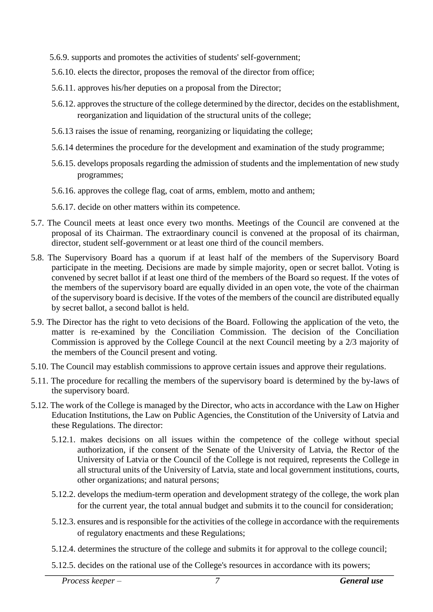- 5.6.9. supports and promotes the activities of students' self-government;
- 5.6.10. elects the director, proposes the removal of the director from office;
- 5.6.11. approves his/her deputies on a proposal from the Director;
- 5.6.12. approves the structure of the college determined by the director, decides on the establishment, reorganization and liquidation of the structural units of the college;
- 5.6.13 raises the issue of renaming, reorganizing or liquidating the college;
- 5.6.14 determines the procedure for the development and examination of the study programme;
- 5.6.15. develops proposals regarding the admission of students and the implementation of new study programmes;
- 5.6.16. approves the college flag, coat of arms, emblem, motto and anthem;
- 5.6.17. decide on other matters within its competence.
- 5.7. The Council meets at least once every two months. Meetings of the Council are convened at the proposal of its Chairman. The extraordinary council is convened at the proposal of its chairman, director, student self-government or at least one third of the council members.
- 5.8. The Supervisory Board has a quorum if at least half of the members of the Supervisory Board participate in the meeting. Decisions are made by simple majority, open or secret ballot. Voting is convened by secret ballot if at least one third of the members of the Board so request. If the votes of the members of the supervisory board are equally divided in an open vote, the vote of the chairman of the supervisory board is decisive. If the votes of the members of the council are distributed equally by secret ballot, a second ballot is held.
- 5.9. The Director has the right to veto decisions of the Board. Following the application of the veto, the matter is re-examined by the Conciliation Commission. The decision of the Conciliation Commission is approved by the College Council at the next Council meeting by a 2/3 majority of the members of the Council present and voting.
- 5.10. The Council may establish commissions to approve certain issues and approve their regulations.
- 5.11. The procedure for recalling the members of the supervisory board is determined by the by-laws of the supervisory board.
- 5.12. The work of the College is managed by the Director, who acts in accordance with the Law on Higher Education Institutions, the Law on Public Agencies, the Constitution of the University of Latvia and these Regulations. The director:
	- 5.12.1. makes decisions on all issues within the competence of the college without special authorization, if the consent of the Senate of the University of Latvia, the Rector of the University of Latvia or the Council of the College is not required, represents the College in all structural units of the University of Latvia, state and local government institutions, courts, other organizations; and natural persons;
	- 5.12.2. develops the medium-term operation and development strategy of the college, the work plan for the current year, the total annual budget and submits it to the council for consideration;
	- 5.12.3. ensures and is responsible for the activities of the college in accordance with the requirements of regulatory enactments and these Regulations;
	- 5.12.4. determines the structure of the college and submits it for approval to the college council;
	- 5.12.5. decides on the rational use of the College's resources in accordance with its powers;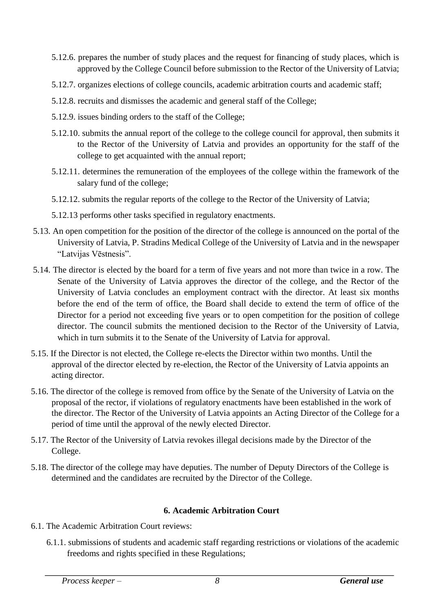- 5.12.6. prepares the number of study places and the request for financing of study places, which is approved by the College Council before submission to the Rector of the University of Latvia;
- 5.12.7. organizes elections of college councils, academic arbitration courts and academic staff;
- 5.12.8. recruits and dismisses the academic and general staff of the College;
- 5.12.9. issues binding orders to the staff of the College;
- 5.12.10. submits the annual report of the college to the college council for approval, then submits it to the Rector of the University of Latvia and provides an opportunity for the staff of the college to get acquainted with the annual report;
- 5.12.11. determines the remuneration of the employees of the college within the framework of the salary fund of the college;
- 5.12.12. submits the regular reports of the college to the Rector of the University of Latvia;
- 5.12.13 performs other tasks specified in regulatory enactments.
- 5.13. An open competition for the position of the director of the college is announced on the portal of the University of Latvia, P. Stradins Medical College of the University of Latvia and in the newspaper "Latvijas Vēstnesis".
- 5.14. The director is elected by the board for a term of five years and not more than twice in a row. The Senate of the University of Latvia approves the director of the college, and the Rector of the University of Latvia concludes an employment contract with the director. At least six months before the end of the term of office, the Board shall decide to extend the term of office of the Director for a period not exceeding five years or to open competition for the position of college director. The council submits the mentioned decision to the Rector of the University of Latvia, which in turn submits it to the Senate of the University of Latvia for approval.
- 5.15. If the Director is not elected, the College re-elects the Director within two months. Until the approval of the director elected by re-election, the Rector of the University of Latvia appoints an acting director.
- 5.16. The director of the college is removed from office by the Senate of the University of Latvia on the proposal of the rector, if violations of regulatory enactments have been established in the work of the director. The Rector of the University of Latvia appoints an Acting Director of the College for a period of time until the approval of the newly elected Director.
- 5.17. The Rector of the University of Latvia revokes illegal decisions made by the Director of the College.
- 5.18. The director of the college may have deputies. The number of Deputy Directors of the College is determined and the candidates are recruited by the Director of the College.

## **6. Academic Arbitration Court**

- 6.1. The Academic Arbitration Court reviews:
	- 6.1.1. submissions of students and academic staff regarding restrictions or violations of the academic freedoms and rights specified in these Regulations;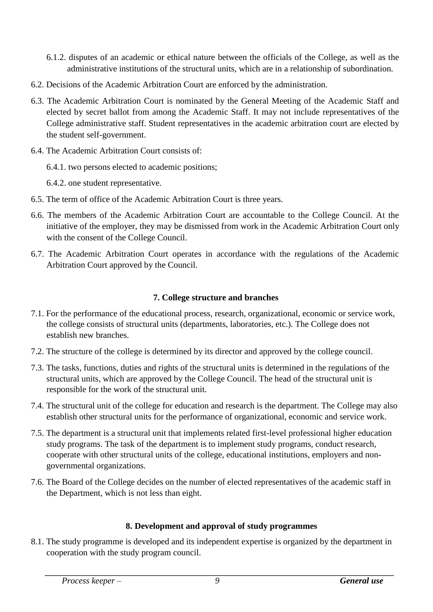- 6.1.2. disputes of an academic or ethical nature between the officials of the College, as well as the administrative institutions of the structural units, which are in a relationship of subordination.
- 6.2. Decisions of the Academic Arbitration Court are enforced by the administration.
- 6.3. The Academic Arbitration Court is nominated by the General Meeting of the Academic Staff and elected by secret ballot from among the Academic Staff. It may not include representatives of the College administrative staff. Student representatives in the academic arbitration court are elected by the student self-government.
- 6.4. The Academic Arbitration Court consists of:
	- 6.4.1. two persons elected to academic positions;
	- 6.4.2. one student representative.
- 6.5. The term of office of the Academic Arbitration Court is three years.
- 6.6. The members of the Academic Arbitration Court are accountable to the College Council. At the initiative of the employer, they may be dismissed from work in the Academic Arbitration Court only with the consent of the College Council.
- 6.7. The Academic Arbitration Court operates in accordance with the regulations of the Academic Arbitration Court approved by the Council.

## **7. College structure and branches**

- 7.1. For the performance of the educational process, research, organizational, economic or service work, the college consists of structural units (departments, laboratories, etc.). The College does not establish new branches.
- 7.2. The structure of the college is determined by its director and approved by the college council.
- 7.3. The tasks, functions, duties and rights of the structural units is determined in the regulations of the structural units, which are approved by the College Council. The head of the structural unit is responsible for the work of the structural unit.
- 7.4. The structural unit of the college for education and research is the department. The College may also establish other structural units for the performance of organizational, economic and service work.
- 7.5. The department is a structural unit that implements related first-level professional higher education study programs. The task of the department is to implement study programs, conduct research, cooperate with other structural units of the college, educational institutions, employers and nongovernmental organizations.
- 7.6. The Board of the College decides on the number of elected representatives of the academic staff in the Department, which is not less than eight.

## **8. Development and approval of study programmes**

8.1. The study programme is developed and its independent expertise is organized by the department in cooperation with the study program council.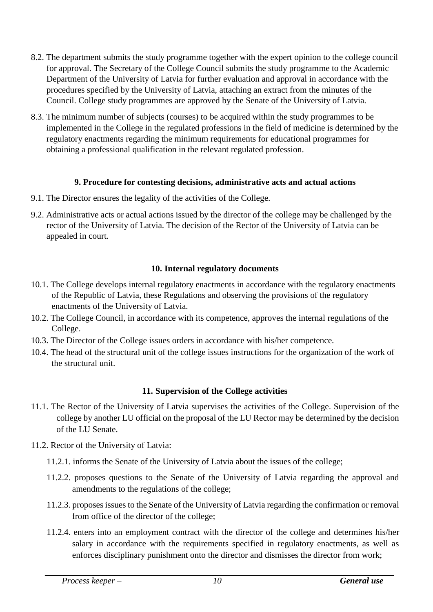- 8.2. The department submits the study programme together with the expert opinion to the college council for approval. The Secretary of the College Council submits the study programme to the Academic Department of the University of Latvia for further evaluation and approval in accordance with the procedures specified by the University of Latvia, attaching an extract from the minutes of the Council. College study programmes are approved by the Senate of the University of Latvia.
- 8.3. The minimum number of subjects (courses) to be acquired within the study programmes to be implemented in the College in the regulated professions in the field of medicine is determined by the regulatory enactments regarding the minimum requirements for educational programmes for obtaining a professional qualification in the relevant regulated profession.

## **9. Procedure for contesting decisions, administrative acts and actual actions**

- 9.1. The Director ensures the legality of the activities of the College.
- 9.2. Administrative acts or actual actions issued by the director of the college may be challenged by the rector of the University of Latvia. The decision of the Rector of the University of Latvia can be appealed in court.

### **10. Internal regulatory documents**

- 10.1. The College develops internal regulatory enactments in accordance with the regulatory enactments of the Republic of Latvia, these Regulations and observing the provisions of the regulatory enactments of the University of Latvia.
- 10.2. The College Council, in accordance with its competence, approves the internal regulations of the College.
- 10.3. The Director of the College issues orders in accordance with his/her competence.
- 10.4. The head of the structural unit of the college issues instructions for the organization of the work of the structural unit.

#### **11. Supervision of the College activities**

- 11.1. The Rector of the University of Latvia supervises the activities of the College. Supervision of the college by another LU official on the proposal of the LU Rector may be determined by the decision of the LU Senate.
- 11.2. Rector of the University of Latvia:
	- 11.2.1. informs the Senate of the University of Latvia about the issues of the college;
	- 11.2.2. proposes questions to the Senate of the University of Latvia regarding the approval and amendments to the regulations of the college;
	- 11.2.3. proposes issues to the Senate of the University of Latvia regarding the confirmation or removal from office of the director of the college;
	- 11.2.4. enters into an employment contract with the director of the college and determines his/her salary in accordance with the requirements specified in regulatory enactments, as well as enforces disciplinary punishment onto the director and dismisses the director from work;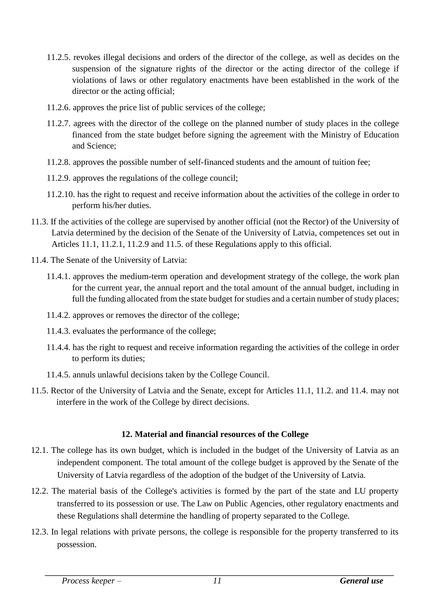- 11.2.5. revokes illegal decisions and orders of the director of the college, as well as decides on the suspension of the signature rights of the director or the acting director of the college if violations of laws or other regulatory enactments have been established in the work of the director or the acting official;
- 11.2.6. approves the price list of public services of the college;
- 11.2.7. agrees with the director of the college on the planned number of study places in the college financed from the state budget before signing the agreement with the Ministry of Education and Science;
- 11.2.8. approves the possible number of self-financed students and the amount of tuition fee;
- 11.2.9. approves the regulations of the college council;
- 11.2.10. has the right to request and receive information about the activities of the college in order to perform his/her duties.
- 11.3. If the activities of the college are supervised by another official (not the Rector) of the University of Latvia determined by the decision of the Senate of the University of Latvia, competences set out in Articles 11.1, 11.2.1, 11.2.9 and 11.5. of these Regulations apply to this official.
- 11.4. The Senate of the University of Latvia:
	- 11.4.1. approves the medium-term operation and development strategy of the college, the work plan for the current year, the annual report and the total amount of the annual budget, including in full the funding allocated from the state budget for studies and a certain number of study places;
	- 11.4.2. approves or removes the director of the college;
	- 11.4.3. evaluates the performance of the college;
	- 11.4.4. has the right to request and receive information regarding the activities of the college in order to perform its duties;
	- 11.4.5. annuls unlawful decisions taken by the College Council.
- 11.5. Rector of the University of Latvia and the Senate, except for Articles 11.1, 11.2. and 11.4. may not interfere in the work of the College by direct decisions.

## **12. Material and financial resources of the College**

- 12.1. The college has its own budget, which is included in the budget of the University of Latvia as an independent component. The total amount of the college budget is approved by the Senate of the University of Latvia regardless of the adoption of the budget of the University of Latvia.
- 12.2. The material basis of the College's activities is formed by the part of the state and LU property transferred to its possession or use. The Law on Public Agencies, other regulatory enactments and these Regulations shall determine the handling of property separated to the College.
- 12.3. In legal relations with private persons, the college is responsible for the property transferred to its possession.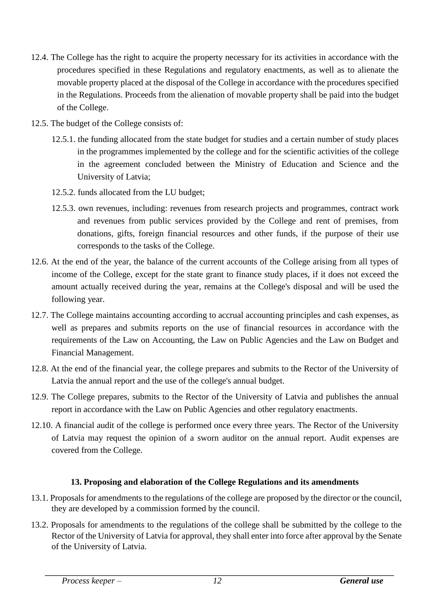- 12.4. The College has the right to acquire the property necessary for its activities in accordance with the procedures specified in these Regulations and regulatory enactments, as well as to alienate the movable property placed at the disposal of the College in accordance with the procedures specified in the Regulations. Proceeds from the alienation of movable property shall be paid into the budget of the College.
- 12.5. The budget of the College consists of:
	- 12.5.1. the funding allocated from the state budget for studies and a certain number of study places in the programmes implemented by the college and for the scientific activities of the college in the agreement concluded between the Ministry of Education and Science and the University of Latvia;
	- 12.5.2. funds allocated from the LU budget;
	- 12.5.3. own revenues, including: revenues from research projects and programmes, contract work and revenues from public services provided by the College and rent of premises, from donations, gifts, foreign financial resources and other funds, if the purpose of their use corresponds to the tasks of the College.
- 12.6. At the end of the year, the balance of the current accounts of the College arising from all types of income of the College, except for the state grant to finance study places, if it does not exceed the amount actually received during the year, remains at the College's disposal and will be used the following year.
- 12.7. The College maintains accounting according to accrual accounting principles and cash expenses, as well as prepares and submits reports on the use of financial resources in accordance with the requirements of the Law on Accounting, the Law on Public Agencies and the Law on Budget and Financial Management.
- 12.8. At the end of the financial year, the college prepares and submits to the Rector of the University of Latvia the annual report and the use of the college's annual budget.
- 12.9. The College prepares, submits to the Rector of the University of Latvia and publishes the annual report in accordance with the Law on Public Agencies and other regulatory enactments.
- 12.10. A financial audit of the college is performed once every three years. The Rector of the University of Latvia may request the opinion of a sworn auditor on the annual report. Audit expenses are covered from the College.

# **13. Proposing and elaboration of the College Regulations and its amendments**

- 13.1. Proposals for amendments to the regulations of the college are proposed by the director or the council, they are developed by a commission formed by the council.
- 13.2. Proposals for amendments to the regulations of the college shall be submitted by the college to the Rector of the University of Latvia for approval, they shall enter into force after approval by the Senate of the University of Latvia.